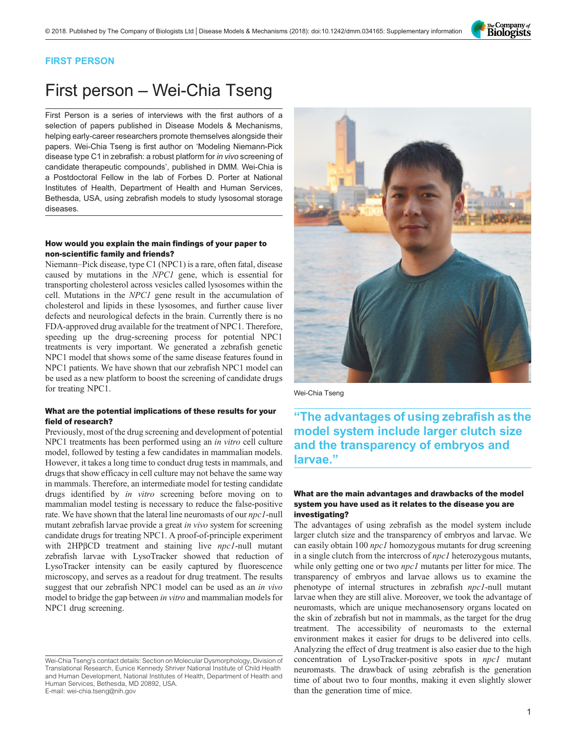

### FIRST PERSON

# First person – Wei-Chia Tseng

First Person is a series of interviews with the first authors of a selection of papers published in Disease Models & Mechanisms, helping early-career researchers promote themselves alongside their papers. Wei-Chia Tseng is first author on '[Modeling Niemann-Pick](#page-1-0) [disease type C1 in zebrafish: a robust platform for](#page-1-0) in vivo screening of [candidate therapeutic compounds](#page-1-0)', published in DMM. Wei-Chia is a Postdoctoral Fellow in the lab of Forbes D. Porter at National Institutes of Health, Department of Health and Human Services, Bethesda, USA, using zebrafish models to study lysosomal storage diseases.

# How would you explain the main findings of your paper to non-scientific family and friends?

Niemann–Pick disease, type C1 (NPC1) is a rare, often fatal, disease caused by mutations in the NPC1 gene, which is essential for transporting cholesterol across vesicles called lysosomes within the cell. Mutations in the NPC1 gene result in the accumulation of cholesterol and lipids in these lysosomes, and further cause liver defects and neurological defects in the brain. Currently there is no FDA-approved drug available for the treatment of NPC1. Therefore, speeding up the drug-screening process for potential NPC1 treatments is very important. We generated a zebrafish genetic NPC1 model that shows some of the same disease features found in NPC1 patients. We have shown that our zebrafish NPC1 model can be used as a new platform to boost the screening of candidate drugs for treating NPC1.

# What are the potential implications of these results for your field of research?

Previously, most of the drug screening and development of potential NPC1 treatments has been performed using an in vitro cell culture model, followed by testing a few candidates in mammalian models. However, it takes a long time to conduct drug tests in mammals, and drugs that show efficacy in cell culture may not behave the same way in mammals. Therefore, an intermediate model for testing candidate drugs identified by in vitro screening before moving on to mammalian model testing is necessary to reduce the false-positive rate. We have shown that the lateral line neuromasts of our *npc1*-null mutant zebrafish larvae provide a great in vivo system for screening candidate drugs for treating NPC1. A proof-of-principle experiment with 2HPβCD treatment and staining live *npc1*-null mutant zebrafish larvae with LysoTracker showed that reduction of LysoTracker intensity can be easily captured by fluorescence microscopy, and serves as a readout for drug treatment. The results suggest that our zebrafish NPC1 model can be used as an in vivo model to bridge the gap between in vitro and mammalian models for NPC1 drug screening.



Wei-Chia Tseng

"The advantages of using zebrafish as the model system include larger clutch size and the transparency of embryos and larvae."

# What are the main advantages and drawbacks of the model system you have used as it relates to the disease you are investigating?

The advantages of using zebrafish as the model system include larger clutch size and the transparency of embryos and larvae. We can easily obtain 100 npc1 homozygous mutants for drug screening in a single clutch from the intercross of *npc1* heterozygous mutants, while only getting one or two *npc1* mutants per litter for mice. The transparency of embryos and larvae allows us to examine the phenotype of internal structures in zebrafish npc1-null mutant larvae when they are still alive. Moreover, we took the advantage of neuromasts, which are unique mechanosensory organs located on the skin of zebrafish but not in mammals, as the target for the drug treatment. The accessibility of neuromasts to the external environment makes it easier for drugs to be delivered into cells. Analyzing the effect of drug treatment is also easier due to the high concentration of LysoTracker-positive spots in npc1 mutant neuromasts. The drawback of using zebrafish is the generation time of about two to four months, making it even slightly slower than the generation time of mice.

Wei-Chia Tseng's contact details: Section on Molecular Dysmorphology, Division of Translational Research, Eunice Kennedy Shriver National Institute of Child Health and Human Development, National Institutes of Health, Department of Health and Human Services, Bethesda, MD 20892, USA. E-mail: [wei-chia.tseng@nih.gov](mailto:wei-chia.tseng@nih.gov)